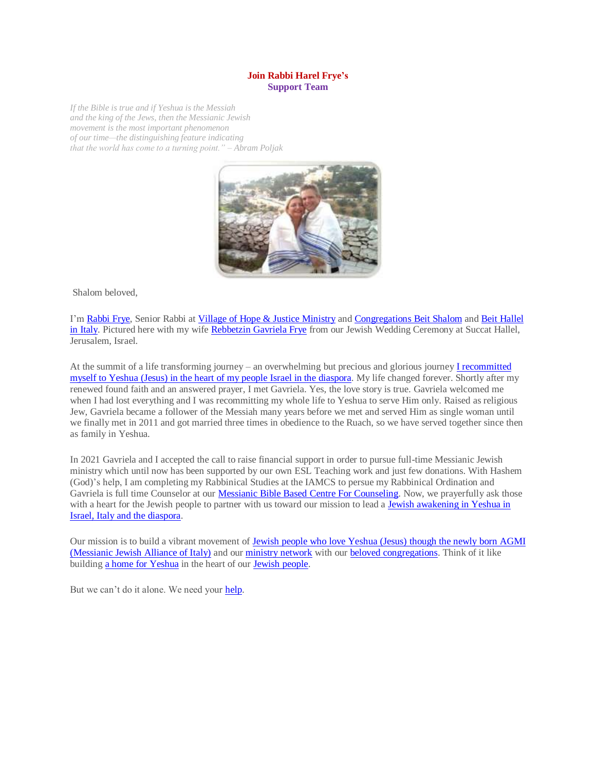## **Join Rabbi Harel Frye's Support Team**

*If the Bible is true and if Yeshua is the Messiah and the king of the Jews, then the Messianic Jewish movement is the most important phenomenon of our time—the distinguishing feature indicating that the world has come to a turning point." – Abram Poljak*



Shalom beloved,

I'm [Rabbi Frye,](https://villageofhopejusticeministry.org/my-testimony-of-faith-in-yeshua-jesus-la-mia-testimonianza-di-fede-in-yeshua-gesu/) Senior Rabbi a[t Village of Hope & Justice Ministry](https://villageofhopejusticeministry.org/about/) an[d Congregations](https://villageofhopejusticeministry.org/beit-shalom-messianic-congregation-beit-shalom-congregazione-messianica/) Beit Shalom and [Beit Hallel](https://www.facebook.com/BeitHallelMessianicCongregation)  [in Italy.](https://www.facebook.com/BeitHallelMessianicCongregation) Pictured here with my wife [Rebbetzin](https://villageofhopejusticeministry.org/the-rose-of-sharon-my-testimony-of-faith-in-yeshua-la-rosa-di-sharon-la-mia-testimonianza-di-fede-in-yeshua/) Gavriela Frye from our Jewish Wedding Ceremony at Succat Hallel, Jerusalem, Israel.

At the summit of a life transforming journey – an overwhelming but precious and glorious journey I [recommitted](https://villageofhopejusticeministry.org/my-testimony-of-faith-in-yeshua-jesus-la-mia-testimonianza-di-fede-in-yeshua-gesu/)  myself to [Yeshua \(Jesus\) in the heart of my people Israel in the diaspora.](https://villageofhopejusticeministry.org/my-testimony-of-faith-in-yeshua-jesus-la-mia-testimonianza-di-fede-in-yeshua-gesu/) My life changed forever. Shortly after my renewed found faith and an answered prayer, I met Gavriela. Yes, the love story is true. Gavriela welcomed me when I had lost everything and I was recommitting my whole life to Yeshua to serve Him only. Raised as religious Jew, Gavriela became a follower of the Messiah many years before we met and served Him as single woman until we finally met in 2011 and got married three times in obedience to the Ruach, so we have served together since then as family in Yeshua.

In 2021 Gavriela and I accepted the call to raise financial support in order to pursue full-time Messianic Jewish ministry which until now has been supported by our own ESL Teaching work and just few donations. With Hashem (God)'s help, I am completing my Rabbinical Studies at the IAMCS to persue my Rabbinical Ordination and Gavriela is full time Counselor at our **Messianic Bible Based Centre For Counseling**. Now, we prayerfully ask those with a heart for the Jewish people to partner with us toward our mission to lead a [Jewish awakening in Yeshua](https://villageofhopejusticeministry.org/progetto-imja-imja-project/) in [Israel, Italy and the](https://villageofhopejusticeministry.org/progetto-imja-imja-project/) diaspora.

Our mission is to build a vibrant movement of [Jewish people who love Yeshua \(Jesus\)](https://agm-italia.org/en/) though the newly born AGMI [\(Messianic Jewish Alliance of Italy\)](https://agm-italia.org/en/) and our [ministry network](https://villageofhopejusticeministry.org/about/) with ou[r beloved congregations.](https://villageofhopejusticeministry.org/beit-shalom-messianic-congregation-beit-shalom-congregazione-messianica/) Think of it like building [a home for Yeshua](https://villageofhopejusticeministry.org/village-of-hope-and-justice-ministry-tel-aviv-project-the-rose-of-sharon/) in the heart of our [Jewish people.](https://villageofhopejusticeministry.org/donation-donazione/)

But we can't do it alone. We need your [help.](https://villageofhopejusticeministry.org/donation-donazione/)